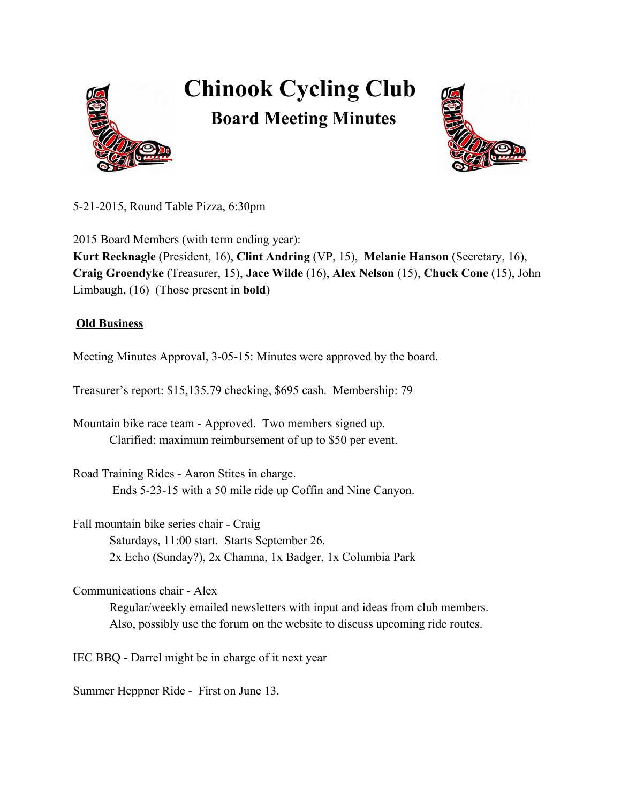

## **Chinook Cycling Club**





5212015, Round Table Pizza, 6:30pm

2015 Board Members (with term ending year): **KurtRecknagle**(President, 16), **ClintAndring**(VP, 15), **Melanie Hanson**(Secretary, 16), **CraigGroendyke** (Treasurer, 15), **Jace Wilde**(16), **Alex Nelson** (15), **Chuck Cone** (15), John Limbaugh, (16) (Those present in **bold**)

## **Old Business**

Meeting Minutes Approval, 3-05-15: Minutes were approved by the board.

Treasurer's report: \$15,135.79 checking, \$695 cash. Membership: 79

Mountain bike race team - Approved. Two members signed up. Clarified: maximum reimbursement of up to \$50 per event.

Road Training Rides - Aaron Stites in charge. Ends 5-23-15 with a 50 mile ride up Coffin and Nine Canyon.

Fall mountain bike series chair Craig Saturdays, 11:00 start. Starts September 26. 2x Echo (Sunday?), 2x Chamna, 1x Badger, 1x Columbia Park

Communications chair - Alex

Regular/weekly emailed newsletters with input and ideas from club members. Also, possibly use the forum on the website to discuss upcoming ride routes.

IEC BBQ - Darrel might be in charge of it next year

Summer Heppner Ride - First on June 13.